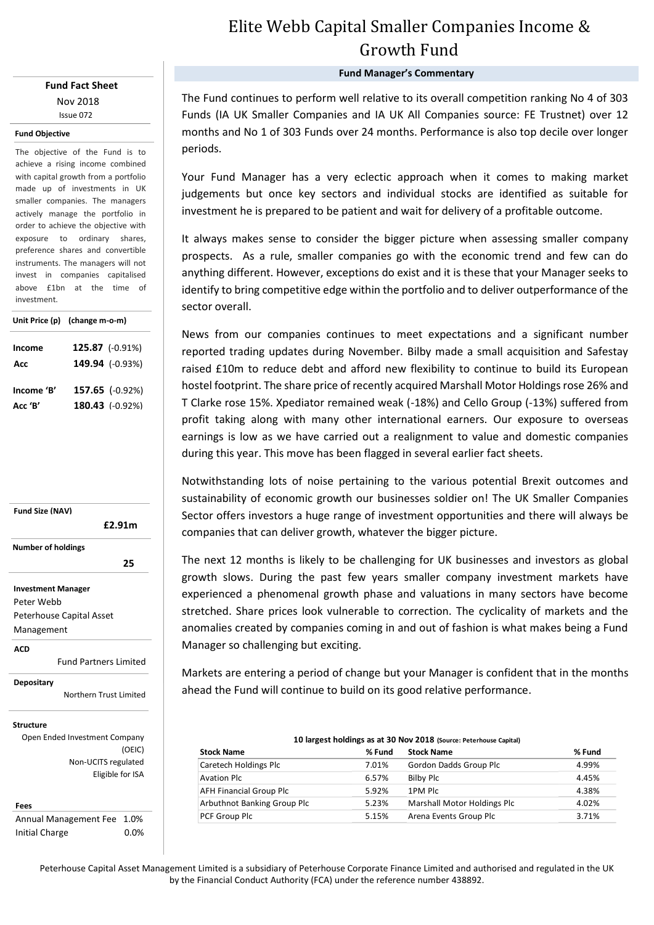### **Fund Fact Sheet** Nov 2018 Issue 072

#### **Fund Objective**

The objective of the Fund is to achieve a rising income combined with capital growth from a portfolio made up of investments in UK smaller companies. The managers actively manage the portfolio in order to achieve the objective with exposure to ordinary shares, preference shares and convertible instruments. The managers will not invest in companies capitalised above £1bn at the time of investment.

|               | Unit Price (p) (change m-o-m)      |  |  |  |
|---------------|------------------------------------|--|--|--|
| Income<br>Acc | 125.87 (-0.91%)<br>149.94 (-0.93%) |  |  |  |
| Income 'B'    | 157.65 (-0.92%)                    |  |  |  |
| Acc 'B'       | $180.43$ (-0.92%)                  |  |  |  |



#### **Fees**

Annual Management Fee 1.0% Initial Charge 0.0%

# Elite Webb Capital Smaller Companies Income & Growth Fund

**Fund Manager's Commentary**

The Fund continues to perform well relative to its overall competition ranking No 4 of 303 Funds (IA UK Smaller Companies and IA UK All Companies source: FE Trustnet) over 12 months and No 1 of 303 Funds over 24 months. Performance is also top decile over longer periods.

Your Fund Manager has a very eclectic approach when it comes to making market judgements but once key sectors and individual stocks are identified as suitable for investment he is prepared to be patient and wait for delivery of a profitable outcome.

It always makes sense to consider the bigger picture when assessing smaller company prospects. As a rule, smaller companies go with the economic trend and few can do anything different. However, exceptions do exist and it is these that your Manager seeks to identify to bring competitive edge within the portfolio and to deliver outperformance of the sector overall.

News from our companies continues to meet expectations and a significant number reported trading updates during November. Bilby made a small acquisition and Safestay raised £10m to reduce debt and afford new flexibility to continue to build its European hostel footprint. The share price of recently acquired Marshall Motor Holdings rose 26% and T Clarke rose 15%. Xpediator remained weak (-18%) and Cello Group (-13%) suffered from profit taking along with many other international earners. Our exposure to overseas earnings is low as we have carried out a realignment to value and domestic companies during this year. This move has been flagged in several earlier fact sheets.

Notwithstanding lots of noise pertaining to the various potential Brexit outcomes and sustainability of economic growth our businesses soldier on! The UK Smaller Companies Sector offers investors a huge range of investment opportunities and there will always be companies that can deliver growth, whatever the bigger picture.

The next 12 months is likely to be challenging for UK businesses and investors as global growth slows. During the past few years smaller company investment markets have experienced a phenomenal growth phase and valuations in many sectors have become stretched. Share prices look vulnerable to correction. The cyclicality of markets and the anomalies created by companies coming in and out of fashion is what makes being a Fund Manager so challenging but exciting.

Markets are entering a period of change but your Manager is confident that in the months ahead the Fund will continue to build on its good relative performance.

| 10 largest holdings as at 30 Nov 2018 (Source: Peterhouse Capital) |        |                             |        |  |  |  |  |
|--------------------------------------------------------------------|--------|-----------------------------|--------|--|--|--|--|
| <b>Stock Name</b>                                                  | % Fund | <b>Stock Name</b>           | % Fund |  |  |  |  |
| Caretech Holdings Plc                                              | 7.01%  | Gordon Dadds Group Plc      | 4.99%  |  |  |  |  |
| <b>Avation Plc</b>                                                 | 6.57%  | Bilby Plc                   | 4.45%  |  |  |  |  |
| <b>AFH Financial Group Plc</b>                                     | 5.92%  | 1PM Plc                     | 4.38%  |  |  |  |  |
| Arbuthnot Banking Group Plc                                        | 5.23%  | Marshall Motor Holdings Plc | 4.02%  |  |  |  |  |
| PCF Group Plc                                                      | 5.15%  | Arena Events Group Plc      | 3.71%  |  |  |  |  |

Peterhouse Capital Asset Management Limited is a subsidiary of Peterhouse Corporate Finance Limited and authorised and regulated in the UK by the Financial Conduct Authority (FCA) under the reference number 438892.